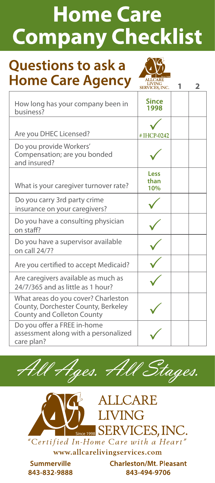## **Home Care Company Checklist**

## **Questions to ask a Home Care Agency**



|                                                                                                                 | SERVICES, INC.       | ◢ |
|-----------------------------------------------------------------------------------------------------------------|----------------------|---|
| How long has your company been in<br>business?                                                                  | <b>Since</b><br>1998 |   |
| Are you DHEC Licensed?                                                                                          | #IHCP-0242           |   |
| Do you provide Workers'<br>Compensation; are you bonded<br>and insured?                                         |                      |   |
| What is your caregiver turnover rate?                                                                           | Less<br>than<br>10%  |   |
| Do you carry 3rd party crime<br>insurance on your caregivers?                                                   |                      |   |
| Do you have a consulting physician<br>on staff?                                                                 |                      |   |
| Do you have a supervisor available<br>on call 24/7?                                                             |                      |   |
| Are you certified to accept Medicaid?                                                                           |                      |   |
| Are caregivers available as much as<br>24/7/365 and as little as 1 hour?                                        |                      |   |
| What areas do you cover? Charleston<br>County, Dorchester County, Berkeley<br><b>County and Colleton County</b> |                      |   |
| Do you offer a FREE in-home<br>assessment along with a personalized<br>care plan?                               |                      |   |





**Summerville** 843-832-9888 **Charleston/Mt. Pleasant** 843-494-9706